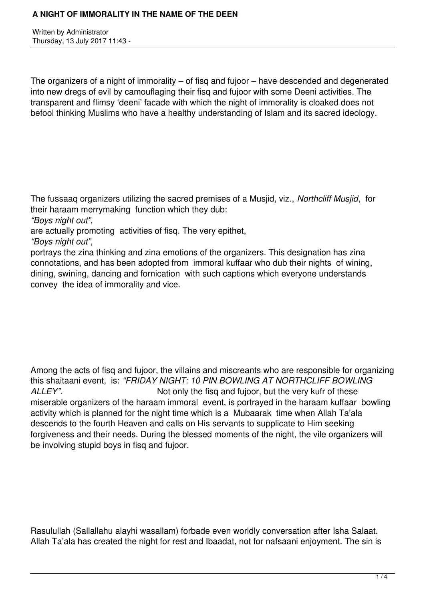Written by Administrator Thursday, 13 July 2017 11:43 -

The organizers of a night of immorality – of fisq and fujoor – have descended and degenerated into new dregs of evil by camouflaging their fisq and fujoor with some Deeni activities. The transparent and flimsy 'deeni' facade with which the night of immorality is cloaked does not befool thinking Muslims who have a healthy understanding of Islam and its sacred ideology.

The fussaaq organizers utilizing the sacred premises of a Musjid, viz., *Northcliff Musjid*, for their haraam merrymaking function which they dub:

*"Boys night out",* 

are actually promoting activities of fisq. The very epithet,

*"Boys night out",* 

portrays the zina thinking and zina emotions of the organizers. This designation has zina connotations, and has been adopted from immoral kuffaar who dub their nights of wining, dining, swining, dancing and fornication with such captions which everyone understands convey the idea of immorality and vice.

Among the acts of fisq and fujoor, the villains and miscreants who are responsible for organizing this shaitaani event, is: *"FRIDAY NIGHT: 10 PIN BOWLING AT NORTHCLIFF BOWLING* ALLEY". Not only the fisq and fujoor, but the very kufr of these miserable organizers of the haraam immoral event, is portrayed in the haraam kuffaar bowling activity which is planned for the night time which is a Mubaarak time when Allah Ta'ala descends to the fourth Heaven and calls on His servants to supplicate to Him seeking forgiveness and their needs. During the blessed moments of the night, the vile organizers will be involving stupid boys in fisq and fujoor.

Rasulullah (Sallallahu alayhi wasallam) forbade even worldly conversation after Isha Salaat. Allah Ta'ala has created the night for rest and Ibaadat, not for nafsaani enjoyment. The sin is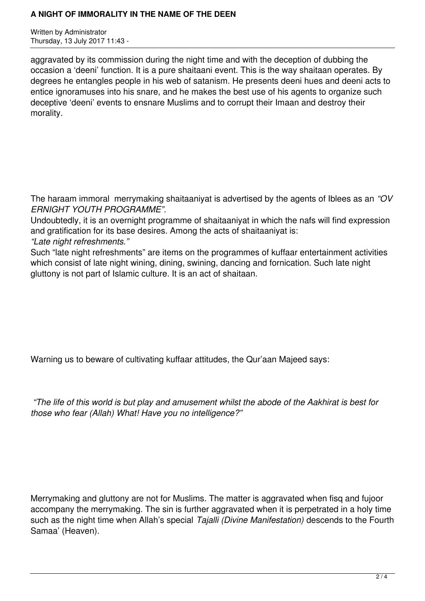## **A NIGHT OF IMMORALITY IN THE NAME OF THE DEEN**

Written by Administrator Thursday, 13 July 2017 11:43 -

aggravated by its commission during the night time and with the deception of dubbing the occasion a 'deeni' function. It is a pure shaitaani event. This is the way shaitaan operates. By degrees he entangles people in his web of satanism. He presents deeni hues and deeni acts to entice ignoramuses into his snare, and he makes the best use of his agents to organize such deceptive 'deeni' events to ensnare Muslims and to corrupt their Imaan and destroy their morality.

The haraam immoral merrymaking shaitaaniyat is advertised by the agents of Iblees as an *"OV ERNIGHT YOUTH PROGRAMME".* 

Undoubtedly, it is an overnight programme of shaitaaniyat in which the nafs will find expression and gratification for its base desires. Among the acts of shaitaaniyat is:

*"Late night refreshments."* 

Such "late night refreshments" are items on the programmes of kuffaar entertainment activities which consist of late night wining, dining, swining, dancing and fornication. Such late night gluttony is not part of Islamic culture. It is an act of shaitaan.

Warning us to beware of cultivating kuffaar attitudes, the Qur'aan Majeed says:

 *"The life of this world is but play and amusement whilst the abode of the Aakhirat is best for those who fear (Allah) What! Have you no intelligence?"* 

Merrymaking and gluttony are not for Muslims. The matter is aggravated when fisg and fujoor accompany the merrymaking. The sin is further aggravated when it is perpetrated in a holy time such as the night time when Allah's special *Tajalli (Divine Manifestation)* descends to the Fourth Samaa' (Heaven).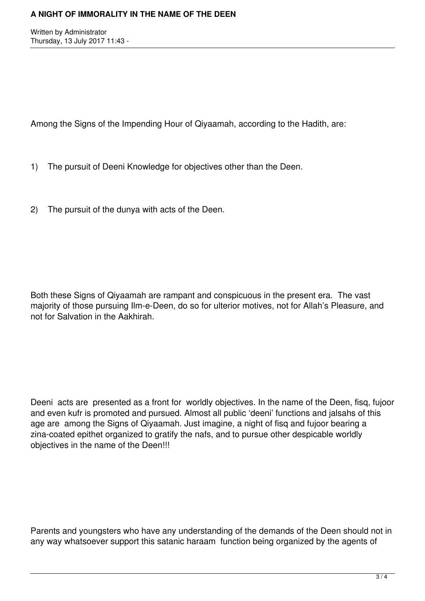Written by Administrator Thursday, 13 July 2017 11:43 -

Among the Signs of the Impending Hour of Qiyaamah, according to the Hadith, are:

- 1) The pursuit of Deeni Knowledge for objectives other than the Deen.
- 2) The pursuit of the dunya with acts of the Deen.

Both these Signs of Qiyaamah are rampant and conspicuous in the present era. The vast majority of those pursuing Ilm-e-Deen, do so for ulterior motives, not for Allah's Pleasure, and not for Salvation in the Aakhirah.

Deeni acts are presented as a front for worldly objectives. In the name of the Deen, fisq, fujoor and even kufr is promoted and pursued. Almost all public 'deeni' functions and jalsahs of this age are among the Signs of Qiyaamah. Just imagine, a night of fisq and fujoor bearing a zina-coated epithet organized to gratify the nafs, and to pursue other despicable worldly objectives in the name of the Deen!!!

Parents and youngsters who have any understanding of the demands of the Deen should not in any way whatsoever support this satanic haraam function being organized by the agents of